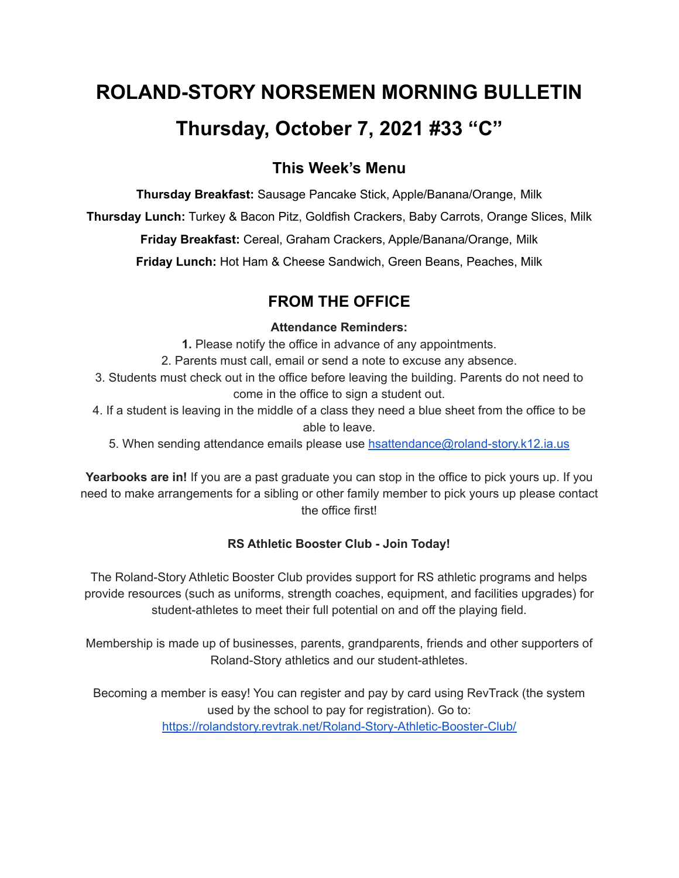# **ROLAND-STORY NORSEMEN MORNING BULLETIN Thursday, October 7, 2021 #33 "C"**

# **This Week's Menu**

**Thursday Breakfast:** Sausage Pancake Stick, Apple/Banana/Orange, Milk

**Thursday Lunch:** Turkey & Bacon Pitz, Goldfish Crackers, Baby Carrots, Orange Slices, Milk

**Friday Breakfast:** Cereal, Graham Crackers, Apple/Banana/Orange, Milk

**Friday Lunch:** Hot Ham & Cheese Sandwich, Green Beans, Peaches, Milk

# **FROM THE OFFICE**

# **Attendance Reminders:**

**1.** Please notify the office in advance of any appointments.

2. Parents must call, email or send a note to excuse any absence.

3. Students must check out in the office before leaving the building. Parents do not need to come in the office to sign a student out.

4. If a student is leaving in the middle of a class they need a blue sheet from the office to be able to leave.

5. When sending attendance emails please use [hsattendance@roland-story.k12.ia.us](mailto:hsattendance@roland-story.k12.ia.us)

**Yearbooks are in!** If you are a past graduate you can stop in the office to pick yours up. If you need to make arrangements for a sibling or other family member to pick yours up please contact the office first!

# **RS Athletic Booster Club - Join Today!**

The Roland-Story Athletic Booster Club provides support for RS athletic programs and helps provide resources (such as uniforms, strength coaches, equipment, and facilities upgrades) for student-athletes to meet their full potential on and off the playing field.

Membership is made up of businesses, parents, grandparents, friends and other supporters of Roland-Story athletics and our student-athletes.

Becoming a member is easy! You can register and pay by card using RevTrack (the system used by the school to pay for registration). Go to: <https://rolandstory.revtrak.net/Roland-Story-Athletic-Booster-Club/>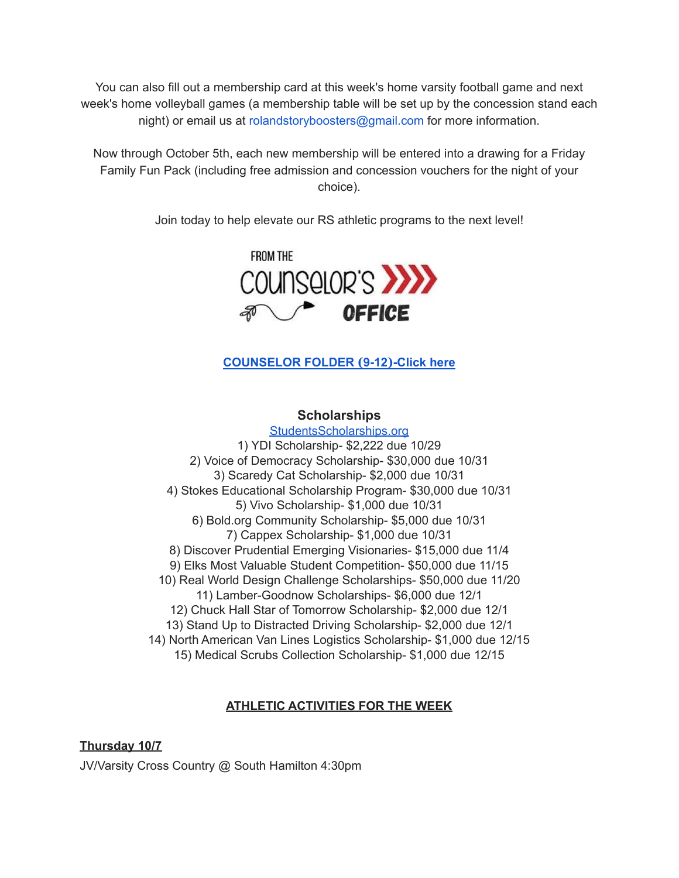You can also fill out a membership card at this week's home varsity football game and next week's home volleyball games (a membership table will be set up by the concession stand each night) or email us at rolandstoryboosters@gmail.com for more information.

Now through October 5th, each new membership will be entered into a drawing for a Friday Family Fun Pack (including free admission and concession vouchers for the night of your choice).

Join today to help elevate our RS athletic programs to the next level!



# **[COUNSELOR](https://docs.google.com/document/d/1vmwczNPbDzXe9vFaG5LJMQ7NYDv-i4oQJHybqA65TUc/edit?usp=sharing) FOLDER (9-12)-Click here**

#### **Scholarships**

[StudentsScholarships.org](https://drive.google.com/file/d/1qbbp7lqeWGlW0ouOHrSolpv8U_P4g6cU/view) 1) YDI Scholarship- \$2,222 due 10/29 2) Voice of Democracy Scholarship- \$30,000 due 10/31 3) Scaredy Cat Scholarship- \$2,000 due 10/31 4) Stokes Educational Scholarship Program- \$30,000 due 10/31 5) Vivo Scholarship- \$1,000 due 10/31 6) Bold.org Community Scholarship- \$5,000 due 10/31 7) Cappex Scholarship- \$1,000 due 10/31 8) Discover Prudential Emerging Visionaries- \$15,000 due 11/4 9) Elks Most Valuable Student Competition- \$50,000 due 11/15 10) Real World Design Challenge Scholarships- \$50,000 due 11/20 11) Lamber-Goodnow Scholarships- \$6,000 due 12/1 12) Chuck Hall Star of Tomorrow Scholarship- \$2,000 due 12/1 13) Stand Up to Distracted Driving Scholarship- \$2,000 due 12/1 14) North American Van Lines Logistics Scholarship- \$1,000 due 12/15 15) Medical Scrubs Collection Scholarship- \$1,000 due 12/15

# **ATHLETIC ACTIVITIES FOR THE WEEK**

**Thursday 10/7** JV/Varsity Cross Country @ South Hamilton 4:30pm